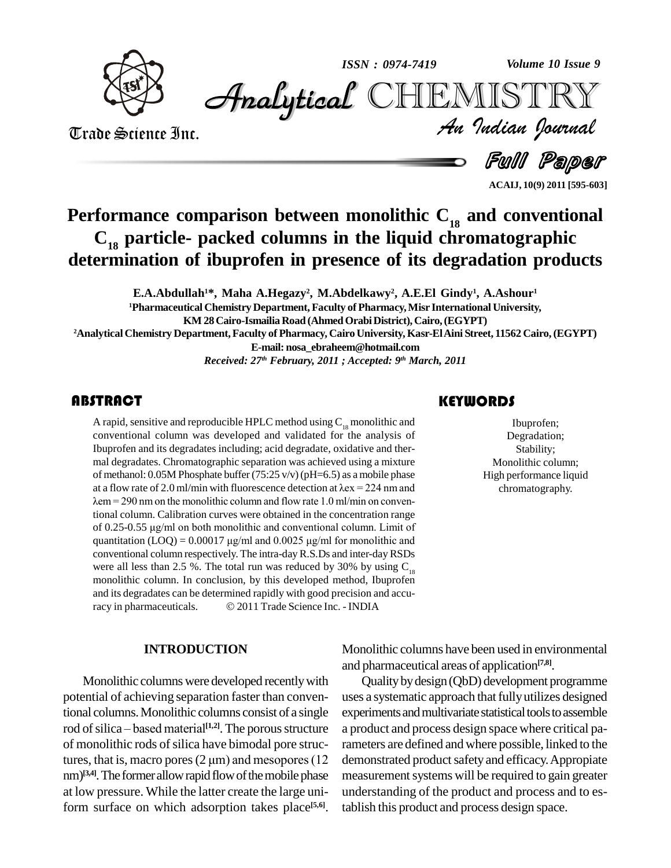

*Volume 10 Issue 9*



Trade Science Inc. Trade Science Inc.

*Volume 10 Issue 9*<br>IISTRY<br>Indian Iournal

Full Paper

**ACAIJ, 10(9) 2011 [595-603]**

## **Performance comparison between monolithic C<sup>18</sup> and conventional C<sup>18</sup> particle- packed columns in the liquid chromatographic determination of ibuprofen in presence of its degradation products**

**E.A.Abdullah <sup>1</sup>\*, Maha A.Hegazy 2 , M.Abdelkawy 2 , A.E.El Gindy 1 , A.Ashour 1**

**<sup>1</sup>Pharmaceutical Chemistry Department, Faculty ofPharmacy,Misr International University,**

**KM 28Cairo-Ismailia Road (AhmedOrabiDistrict), Cairo,(EGYPT)**

**<sup>2</sup>Analytical Chemistry Department,Faculty of Pharmacy, Cairo University, Kasr-ElAini Street, 11562 Cairo,(EGYPT)**

**E-mail: [nosa\\_ebraheem@hotmail.com](mailto:nosa_ebraheem@hotmail.com)**

*Received: 27 th February, 2011 ; Accepted: 9 th March, 2011*

A rapid, sensitive and rep<br>conventional column w<br>Ibuprofen and its degrad A rapid, sensitive and reproducible HPLC method using  $\mathrm{C}_{_{18}}$  monolithic and conventional column was developed and validated for the analysis of Ibuprofen and its degradates including; acid degradate, oxidative and ther mal degradates. Chromatographic separation was achieved using a mixture of methanol: 0.05M Phosphate buffer (75:25 v/v)(pH=6.5) as a mobile phase mal degradates. Chromatographic separation was achieved using a mixture<br>of methanol: 0.05M Phosphate buffer (75:25 v/v) (pH=6.5) as a mobile phase<br>at a flow rate of 2.0 ml/min with fluorescence detection at  $\lambda$ ex = 224 n of methanol: 0.05M Phosphate buffer (75:25 v/v) (pH=6.5) as a mobile phase<br>at a flow rate of 2.0 ml/min with fluorescence detection at  $\lambda$ ex = 224 nm and<br> $\lambda$ em = 290 nm on the monolithic column and flow rate 1.0 ml/min tional column. Calibration curves were obtained in the concentration range  $\lambda$ em = 290 nm on the monolithic column and flow rate 1.0 ml/min on conventional column. Calibration curves were obtained in the concentration range of 0.25-0.55  $\mu$ g/ml on both monolithic and conventional column. Limit tional column. Calibration curves were obtained in the concentration range<br>of 0.25-0.55  $\mu$ g/ml on both monolithic and conventional column. Limit of<br>quantitation (LOQ) = 0.00017  $\mu$ g/ml and 0.0025  $\mu$ g/ml for monolithi conventional column respectively. The intra-dayR.S.Ds and inter-dayRSDs were all less than 2.5 %. The total run was reduced by 30% by using  $C_{18}$ and its degradates can be determined rapidly with good precision and accumonolithic column. In conclusion, by this developed method, Ibuprofen<br>and its degradates can be determined rapidly with good precision and accu-<br>racy in pharmaceuticals.  $\textcircled{2011}$  Trade Science Inc. - INDIA

#### **INTRODUCTION**

Monolithic columns were developed recently with potential of achieving separation faster than conventional columns.Monolithic columns consist of a single potential of achieving separation faster than conven-<br>tional columns. Monolithic columns consist of a single<br>rod of silica – based material<sup>[1,2]</sup>. The porous structure a produ<br>of monolithic rods of silica have bimodal por of monolithic rods of silica have bimodal pore strucnm)<sup>[3,4]</sup>. The former allow rapid flow of the mobile phase measu at low pressure. While the latter create the large uniform surface on which adsorption takes place<sup>[5,6]</sup>. tal

#### **KEYWORDS**

Ibuprofen;<br>Degradation<br>Stability; Ibuprofen; Degradation; Stability; Monolithic column; High performance liquid chromatography.

Monolithic columns have been used in environmental and pharmaceutical areas of application **[7,8]**.

Qualitybydesign(QbD) development programme uses a systematic approach that fully utilizes designed experiments and multivariate statistical tools to assemble a product and process design space where critical parameters are defined and where possible, linked to the demonstrated product safety and efficacy. Appropiate measurement systems will be required to gain greater understanding of the product and process and to establish this product and process design space.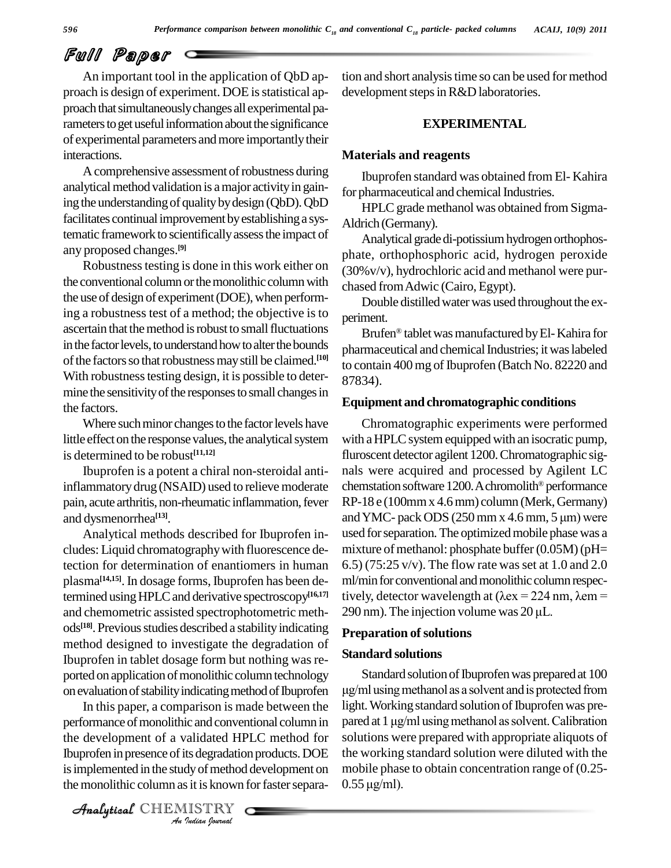An important tool in the application of QbD ap proach is design of experiment. DOE is statistical approach that simultaneously changes all experimental parameters to get useful information about the significance of experimental parameters and more importantly their interactions.

A comprehensive assessment of robustness during analytical method validation is a major activity in gaining the understanding of quality by design (QbD). QbD facilitates continual improvement by establishing a systematic framework to scientifically assess the impact of any proposed changes. **[9]**

Robustness testing is done in this work either on the conventional column or the monolithic column with the use of design of experiment (DOE), when performing a robustness test of a method; the objective is to ascertain that the method is robust to small fluctuations in the factor levels, to understand how to alter the bounds of the factors so that robustness may still be claimed.<sup>[10]</sup>  $\frac{1}{10}$ With robustness testing design, it is possible to determine the sensitivity of the responses to small changes in the factors.

Where such minor changes to the factor levels have little effect on the response values, the analytical system is determined to be robust **[11,12]**

Ibuprofen is a potent a chiral non-steroidal antiinflammatorydrug (NSAID) used to relieve moderate pain, acute arthritis, non-rheumatic inflammation, fever and dysmenorrhea **[13]**.

Analytical methods described for Ibuprofen in cludes: Liquid chromatographywith fluorescence detection for determination of enantiomers in human plasma **[14,15]**. In dosage forms, Ibuprofen has been determined using HPLC and derivative spectroscopy<sup>[16,17]</sup> tive and chemometric assisted spectrophotometric meth- $290 \text{ nm}$ ). The injection volume was  $20 \mu L$ . ods<sup>[18]</sup>. Previous studies described a stability indicating **Preparational** method designed to investigate the degradation of Ibuprofen in tablet dosage form but nothing was re ported on application of monolithic column technology on evaluation of stability indicating method of Ibuprofen

performance of monolithic and conventional column in pared a *Indiana*<br>*Indiana*<br>*Indian Journal*<br>*ISTRY*<br>*<i>Indian Journal* the development of a validated HPLC method for solu In this paper, a comparison is made between the Ibuprofen in presence of its degradation products. DOE is implemented in the study of method development on the monolithic column as it is known for faster separa-

CHEMISTRY

tion and short analysistime so can be used for method development steps in R&D laboratories.

#### **EXPERIMENTAL**

#### **Materials and reagents**

Ibuprofen standard was obtained from El- Kahira for pharmaceutical and chemical Industries.

HPLC grade methanol was obtained from Sigma-Aldrich (Germany).

Analytical grade di-potissium hydrogen orthophosphate, orthophosphoric acid, hydrogen peroxide (30%v/v), hydrochloric acid and methanol were pur chased fromAdwic (Cairo, Egypt).

Double distilled water was used throughout the experiment.

Brufen® tablet was manufactured by El- Kahira for pharmaceutical and chemical Industries; it was labeled to contain 400 mg of Ibuprofen (Batch No. 82220 and 87834).

#### **Equipment andchromatographic conditions**

Chromatographic experiments were performed with a HPLC system equipped with an isocratic pump, fluroscent detector agilent 1200.Chromatographic sig nals were acquired and processed by Agilent LC Æchemstation software 1200. A chromolith<sup>®</sup> performance RP-18 e (100mmx 4.6mm) column (Merk,Germany) and YMC- pack ODS  $(250 \text{ mm} \times 4.6 \text{ mm}, 5 \text{ }\mu\text{m})$  were used for separation. The optimized mobile phase was a mixture of methanol: phosphate buffer (0.05M) (pH= 6.5) (75:25 v/v). The flow rate was set at  $1.0$  and  $2.0$ ml/min for conventional and monolithic column respec-6.5) (75:25 v/v). The flow rate was set at 1.0 and 2.0<br>ml/min for conventional and monolithic column respec-<br>tively, detector wavelength at ( $\lambda$ ex = 224 nm,  $\lambda$ em = ml/min for conventional and monolithic column re<br>tively, detector wavelength at  $(\lambda$ ex = 224 nm,  $\lambda$ <br>290 nm). The injection volume was 20 µL.

#### **Preparation of solutions**

### **Standard solutions**

Standard solution of Ibuprofen was prepared at 100 of Ibuprofen was prepared at 100<br>as a solvent and is protected from light. Working standard solution of Ibuprofen was pre- $\mu$ g/ml using methanol as a solvent and is protected from<br>light. Working standard solution of Ibuprofen was pre-<br>pared at 1  $\mu$ g/ml using methanol as solvent. Calibration solutions were prepared with appropriate aliquots of the working standard solution were diluted with the mobile phase to obtain concentration range of (0.25-0.55 µg/ml). mobile phase to obtain concentration range of (0.25-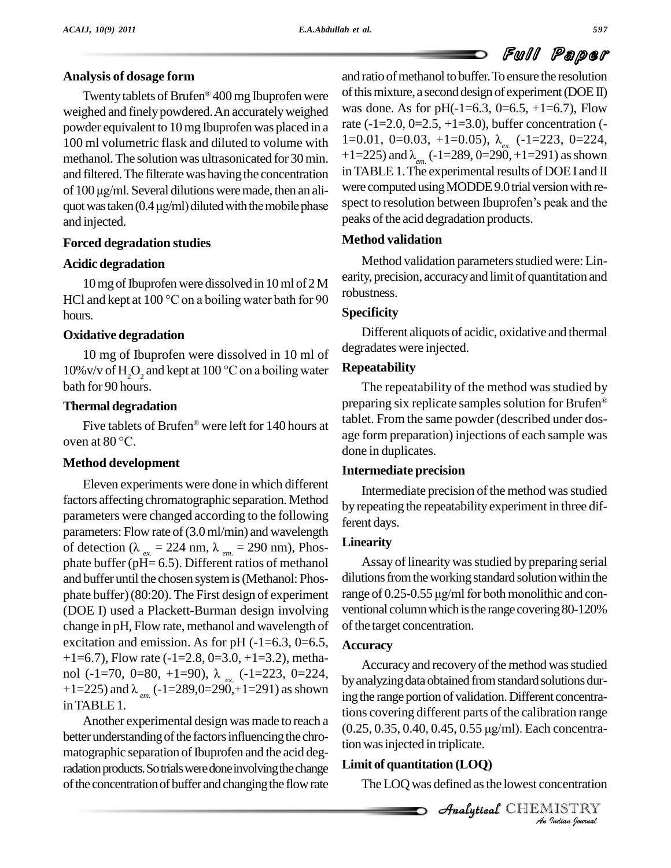#### **Analysis of dosage form**

Twenty tablets of Brufen® 400 mg Ibuprofen were <sup>of this</sup> weighed and finely powdered. An accurately weighed powder equivalent to 10mg Ibuprofen was placed in a 100 ml volumetric flask and diluted to volume with  $1=0.01, 0=0.03, +1=0.05$ ),  $\lambda_{ex}$  (-1=223, 0=224, methanol. The solution was ultrasonicated for 30 min.  $+1=225$ ) and  $\lambda_{ex}$  (-1=289, 0=290, +1=291) as shown methanol. The solution was ultrasonicated for 30 min. and filtered. The filterate was having the concentration <sup>In TAB</sup> methanol. The solution was ultrasonicated for 30 min.  $+1$ =<br>and filtered. The filterate was having the concentration in T<br>of 100 µg/ml. Several dilutions were made, then an aliand filtered. The filterate was having the concentration in TA of 100  $\mu$ g/ml. Several dilutions were made, then an ali-<br>quot was taken (0.4  $\mu$ g/ml) diluted with the mobile phase spect and injected.

#### **Forced degradation studies**

#### **Acidic degradation**

10 mg of Ibuprofen were dissolved in 10 ml of 2 M HCl and kept at 100  $\degree$ C on a boiling water bath for 90 hours.

#### **Oxidative degradation**

10 mg of Ibuprofen were dissolved in 10 ml of  $10\%$  v/v of H<sub>2</sub>O<sub>2</sub> and kept at  $100\degree$ C on a boiling water bath for 90 hours.

#### **Thermal degradation**

Five tablets of Brufen<sup>®</sup> were left for 140 hours at Thermal degradati<br>Five tablets of B<br>oven at 80 °C.

#### **Method development**

Eleven experiments were done in which different factors affecting chromatographic separation. Method parameters were changed according to the following parameters: Flow rate of (3.0 ml/min) and wavelength of detection ( $\lambda_{ex} = 224$  nm,  $\lambda_{em} = 290$  nm), Phos-<br>phate buffer (pH= 6.5). Different ratios of methanol and buffer until the chosen systemis(Methanol: Phos phate buffer) (80:20). The First design of experiment range of 0.25-0.55 µg/ml for both monolithic and con-(DOE I) used a Plackett-Burman design involving change in pH, Flow rate, methanol and wavelength of excitation and emission. As for pH  $(-1=6.3, 0=6.5,$  $+1=6.7$ ), Flow rate ( $-1=2.8$ ,  $0=3.0, +1=3.2$ ), methanol (-1=70, 0=80, +1=90), λ<sub>ex.</sub> (-1=223, 0=224,<br>+1=225) and λ<sub>em</sub> (-1=289,0=290,+1=291) as shown inTABLE1.

Another experimental design was made to reach a better understanding of the factors influencing the chromatographic separation of Ibuprofen and the acid degradation products. So trials were done involving the change of the concentration of buffer and changing the flow rate

and ratio of methanol to buffer. To ensure the resolution of this mixture, a second design of experiment ( $DOE$ II) was done. As for pH $(-1=6.3, 0=6.5, +1=6.7)$ , Flow rate  $(-1=2.0, 0=2.5, +1=3.0)$ , buffer concentration  $(-1)$ 1=0.01, 0=0.03, +1=0.05), λ<sub>ρx</sub> (-1=223, 0=224, in TABLE 1. The experimental results of DOE I and II<br>were computed using MODDE 9.0 trial version with re-<br>spect to resolution between Ibuprofen 's peak and the peaks of the acid degradation products.

#### **Method validation**

Method validation parameters studied were: Linearity, precision, accuracyand limit of quantitation and robustness.

#### **Specificity**

Different aliquots of acidic, oxidative and thermal degradates were injected.

#### **Repeatability**

The repeatability of the method was studied by Æpreparing six replicate samples solution for Brufen<sup>®</sup> tablet. From the same powder (described under dos age form preparation) injections of each sample was done in duplicates.

#### **Intermediate precision**

Intermediate precision of the method was studied by repeating the repeatability experiment in three different days.

#### **Linearity**

Assay of linearity was studied by preparing serial dilutions from the working standard solution within the Assay of linearity was studied by preparing serial<br>dilutions from the working standard solution within the<br>range of  $0.25-0.55 \mu g/ml$  for both monolithic and conventional column which is the range covering 80-120% of the target concentration.

#### **Accuracy**

*A5, 0.55 µg/ml). Eacl Indian Journal* Accuracy and recovery of the method was studied by analyzing data obtained from standard solutions during the range portion of validation. Different concentrations covering different parts of the calibration range ing the range portion of validation. Different concentra-<br>tions covering different parts of the calibration range<br>(0.25, 0.35, 0.40, 0.45, 0.55 µg/ml). Each concentration was injected in triplicate.

#### **Limit of quantitation (LOQ)**

The LOQ was defined asthe lowest concentration

CHEMISTRY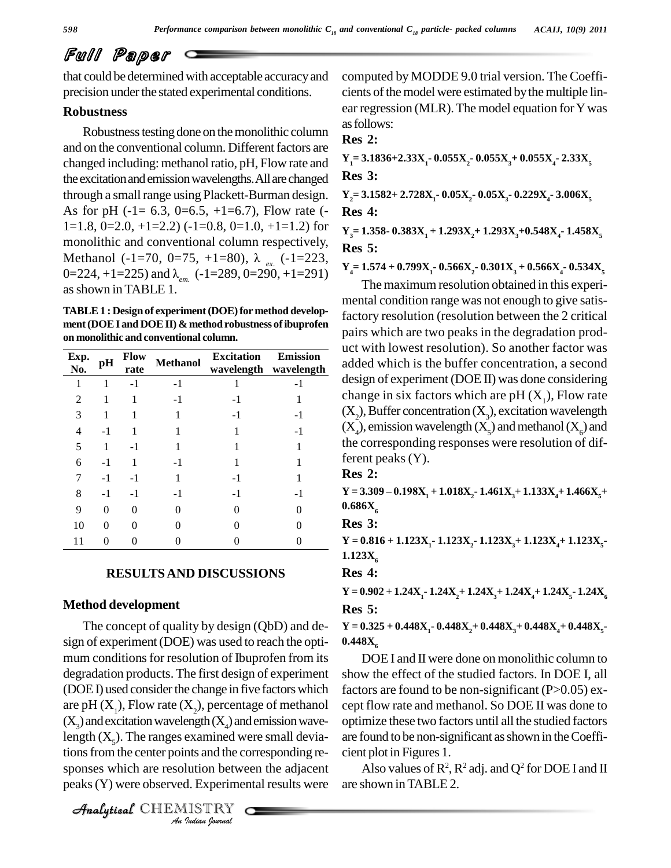that could be determined with acceptable accuracyand precision under the stated experimental conditions.

#### **Robustness**

Robustness testing done on the monolithic column and on the conventional column. Different factors are changed including: methanol ratio, pH, Flow rate and the excitation and emission wavelengths. All are changed through a small range using Plackett-Burman design. As for pH (-1= 6.3, 0=6.5, +1=6.7), Flow rate (-<br>1=1.8, 0=2.0, +1=2.2) (-1=0.8, 0=1.0, +1=1.2) for monolithic and conventional column respectively, Methanol (-1=70, 0=75, +1=80), <sup>Î</sup> *ex.* (-1=223, 0=224, +1=225) and <sup>Î</sup>*em.* (-1=289, 0=290, +1=291) asshown inTABLE 1.

**TABLE1 : Design of experiment(DOE)for method develop ment(DOEI and DOEII) & method robustness ofibuprofen on monolithic and conventional column.**

| Exp.<br>No. | pH   | <b>Flow</b><br>rate | <b>Methanol</b> | <b>Excitation</b> | <b>Emission</b><br>wavelength wavelength |
|-------------|------|---------------------|-----------------|-------------------|------------------------------------------|
| 1           |      | $-1$                | $-1$            |                   |                                          |
| 2           |      |                     | -1              |                   |                                          |
| 3           |      |                     |                 | -1                | $-1$                                     |
| 4           | $-1$ |                     |                 |                   | $-1$                                     |
| 5           | 1    | -1                  |                 |                   |                                          |
| 6           | $-1$ |                     | - 1             |                   |                                          |
| 7           | $-1$ | -1                  |                 | $-1$              |                                          |
| 8           | $-1$ | -1                  | -1              | -1                | $-1$                                     |
| 9           | 0    | 0                   | 0               | 0                 | 0                                        |
| 10          | 0    | 0                   |                 | $\Omega$          | ∩                                        |
| 11          | ∩    |                     |                 |                   |                                          |

#### **RESULTSAND DISCUSSIONS**

#### **Method development**

 $(X_3)$  and excitation wavelength  $(X_4)$  and emission wave-*Indian*<br> *Instantined works and the condition betweed.*<br> *I* Experiment IISTRY length  $(X_5)$ . The ranges examined were small devia-The concept of quality by design (QbD) and de sign of experiment (DOE) was used to reach the optimum conditions for resolution of Ibuprofen from its degradation products. The first design of experiment (DOEI) used consider the change in five factors which are pH  $(X_1)$ , Flow rate  $(X_2)$ , percentage of methanol tionsfromthe center points and the corresponding re-sponses which are resolution between the adjacent peaks(Y) were observed. Experimental results were

```
CHEMISTRY
```
computed by MODDE 9.0 trial version. The Coeffi cients of the model were estimated by the multiple linear regression (MLR). The model equation for Y was asfollows:

**Res 2:**

**Y**<sub>1</sub> = **3.1836+2.33X**<sub>1</sub>**- 0.055X**<sub>2</sub>**- 0.055X**<sub>4</sub>**- 0.055X**<sub>4</sub>**- 2.33X**<sub>5</sub>

**Res 3:**

**Y2= 3.1582+ 2.728X1- 0.05X2- 0.05X3- 0.229X4- 3.006X<sup>5</sup> Res 4:**

**Y3= 1.358- 0.383X<sup>1</sup> + 1.293X2+ 1.293X3+0.548X4- 1.458X<sup>5</sup> Res 5:**

**Y4= 1.574 + 0.799X1- 0.566X2- 0.301X<sup>3</sup> + 0.566X4- 0.534X<sup>5</sup>**

The maximum resolution obtained in this experi mental condition range was not enough to give satisfactory resolution (resolution between the 2 critical pairs which are two peaks in the degradation prod uct with lowest resolution). So another factor was Emission<br>
added which is the buffer concentration, a second design of experiment (DOE II) was done considering change in six factors which are  $pH(X_1)$ , Flow rate  $(X_2)$ , Buffer concentration  $(X_3)$ , excitation wavelength  $(X_4)$ , emission wavelength  $(X_5)$  and methanol  $(X_6)$  and the corresponding responses were resolution of different peaks (Y).

**Res 2:**

 $Y = 3.309 - 0.198X_1 + 1.018X_2 - 1.461X_3 + 1.133X_4 + 1.466X_5 +$  $0.686X_{6}$ 

**Res 3:**

 $Y = 0.816 + 1.123X_1 - 1.123X_2 - 1.123X_3 + 1.123X_4 + 1.123X_5$ **1.123X** 

**Res 4:**

 $Y = 0.902 + 1.24X_1 - 1.24X_2 + 1.24X_3 + 1.24X_4 + 1.24X_5 - 1.24X_6$ **Res 5:**

 $Y = 0.325 + 0.448X_1 - 0.448X_2 + 0.448X_3 + 0.448X_4 + 0.448X_5$ 0.448X

DOE I and II were done on monolithic column to show the effect of the studied factors. In DOE I, all factors are found to be non-significant (P>0.05) except flow rate and methanol. So DOE II was done to optimize these two factors until all the studied factors are found to be non-significant asshown in theCoeffi cient plot in Figures 1.

Also values of  $\mathsf{R}^2\mathsf{R}^2$  adj. and  $\mathsf{Q}^2$  for DOE I and II are shown inTABLE 2.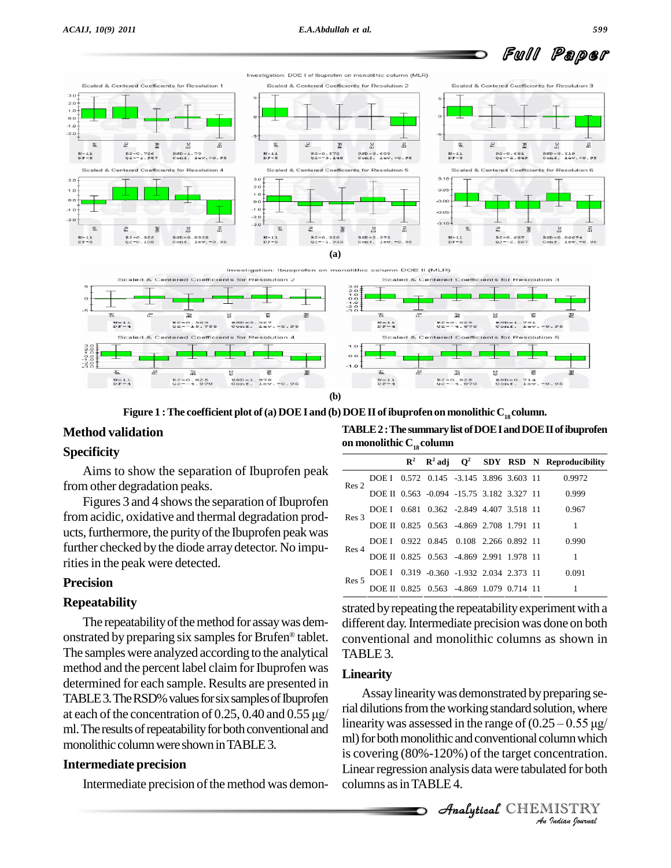

**(b)**

**Figure** 1 **:** The coefficient plot of (a) DOE I and (b) DOE II of ibuprofen on monolithic  $C_{18}$  column.

#### **Method validation**

#### **Specificity**

Aims to show the separation of Ibuprofen peak from other degradation peaks.

Figures 3 and 4 shows the separation of Ibuprofen from acidic, oxidative and thermal degradation prod ucts, furthermore, the purity of the Ibuprofen peak was further checked by the diode array detector. No impurities in the peak were detected.

#### **Precision**

#### **Repeatability**

The repeatability of the method for assay was dem-<br>diff onstrated by preparing six samples for Brufen® tablet.  $cc$ The samples were analyzed according to the analytical method and the percent label claim for Ibuprofen was determined for each sample. Results are presented in TABLE 3. The RSD% values for six samples of Ibuprofen  $\sim$ determined for each sample. Results are presented in<br>TABLE 3. The RSD% values for six samples of Ibuprofen<br>at each of the concentration of  $0.25$ ,  $0.40$  and  $0.55 \mu g/$ ml. The results of repeatability for both conventional and monolithic column were shown in TABLE 3.

#### **Intermediate precision**

Intermediate precision of the method was demon-

**TABLE2:The summarylistofDOEIandDOEIIofibuprofen on** monolithic  $C_{18}$  column

|                  |                                          |                                    |  |  | $R^2$ $R^2$ adj $Q^2$ SDY RSD N Reproducibility |
|------------------|------------------------------------------|------------------------------------|--|--|-------------------------------------------------|
| Res <sub>2</sub> | DOE I 0.572 0.145 -3.145 3.896 3.603 11  |                                    |  |  | 0.9972                                          |
|                  |                                          |                                    |  |  | DOE II 0.563 -0.094 -15.75 3.182 3.327 11 0.999 |
|                  |                                          |                                    |  |  | DOE I 0.681 0.362 -2.849 4.407 3.518 11 0.967   |
| Res 3            | DOE II 0.825 0.563 -4.869 2.708 1.791 11 |                                    |  |  |                                                 |
|                  | DOE I 0.922 0.845 0.108 2.266 0.892 11   |                                    |  |  | 0.990                                           |
| Res 4            | DOE II 0.825 0.563 -4.869 2.991 1.978 11 |                                    |  |  |                                                 |
| Res <sub>5</sub> | DOE L                                    | 0.319 -0.360 -1.932 2.034 2.373 11 |  |  | 0.091                                           |
|                  | DOE II 0.825 0.563 -4.869 1.079 0.714 11 |                                    |  |  |                                                 |

strated by repeating the repeatability experiment with a different day.Intermediate precision was done on both conventional and monolithic columns as shown in TABLE<sub>3</sub>.

#### **Linearity**

linearity was assessed in the range of  $(0.25 - 0.55 \mu g)$ *I*<br>*Journal* which<br>ited for both<br>IISTRY<br>*Indian Iournal* ml) for both monolithic and conventional column which Assay linearity was demonstrated by preparing serial dilutions from the working standard solution, where Assay linearity was demonstrated by preparing se-<br>rial dilutions from the working standard solution, where<br>linearity was assessed in the range of  $(0.25 - 0.55 \,\mu g/$ is covering (80%-120%) of the target concentration. Linear regression analysis data were tabulated for both columns as in TABLE 4.

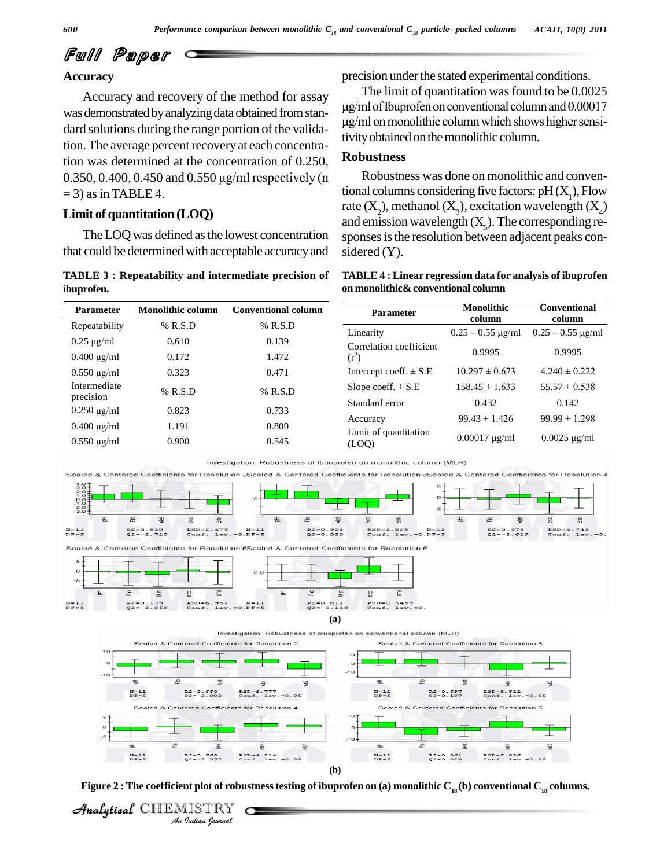#### **Accuracy**

Accuracy and recovery of the method for assay was demonstrated by analyzing data obtained from stan-<br> $\mu$ g/ml on nonolithic column which shows higher sensi-<br>data obtained from stan- $\mu$ g/ml on monolithic column which shows higher sensidard solutions during the range portion of the validation. The average percent recovery at each concentration was determined at the concentration of 0.250, 0.350, 0.400, 0.450 and 0.550  $\mu$ g/ml respectively (n  $= 3$ ) as in TABLE 4.

#### **Limit of quantitation (LOQ)**

The LOQ was defined asthe lowest concentration that could be determined with acceptable accuracyand

**TABLE 3 : Repeatability and intermediate precision of ibuprofen.**

precision under the stated experimental conditions.

The limit of quantitation was found to be 0.0025 ental conditions.<br>found to be 0.0025<br>column and 0.00017 <sup>T</sup>  $\mu$ g/ml of Ibuprofen on conventional column and 0.00017 tivity obtained on the monolithic column.

#### **Robustness**

Robustness was done on monolithic and conventional columns considering five factors:  $pH(X_1)$ , Flow rate  $(X_2)$ , methanol  $(X_3)$ , excitation wavelength  $(X_4)$ <br>and emission wavelength  $(X_5)$ . The corresponding responses is the resolution between adjacent peaks considered (Y).

| TABLE 4 : Linear regression data for analysis of ibuprofen |  |
|------------------------------------------------------------|--|
| on monolithic& conventional column                         |  |

| <b>Parameter</b> | Monolithic column | <b>Conventional column</b> | <b>Parameter</b>               | <b>Monolithic</b><br>column | <b>Conventional</b><br>column |
|------------------|-------------------|----------------------------|--------------------------------|-----------------------------|-------------------------------|
| Repeatability    | $%$ R.S.D         | $%$ R.S.D                  | Linearity                      | $0.25 - 0.55$ µg/ml         | $0.25 - 0.55 \mu$ g/ml        |
| $0.25 \mu g/ml$  | 0.610             | 0.139                      | Correlation coefficient        |                             |                               |
| $0.400 \mu g/ml$ | 0.172             | 1.472                      | $(r^2)$                        | 0.9995                      | 0.9995                        |
| $0.550 \mu g/ml$ | 0.323             | 0.471                      | Intercept coeff. $\pm$ S.E     | $10.297 \pm 0.673$          | $4.240 \pm 0.222$             |
| Intermediate     | $%$ R.S.D         | $%$ R.S.D                  | Slope coeff. $\pm$ S.E         | $158.45 \pm 1.633$          | $55.57 \pm 0.538$             |
| precision        |                   |                            | Standard error                 | 0.432                       | 0.142                         |
| $0.250 \mu g/ml$ | 0.823             | 0.733                      | Accuracy                       | $99.43 \pm 1.426$           | $99.99 \pm 1.298$             |
| $0.400 \mu g/ml$ | 1.191             | 0.800                      |                                |                             |                               |
| $0.550 \mu g/ml$ | 0.900             | 0.545                      | Limit of quantitation<br>(LOQ) | $0.00017 \mu g/ml$          | $0.0025 \,\mathrm{\mu g/ml}$  |





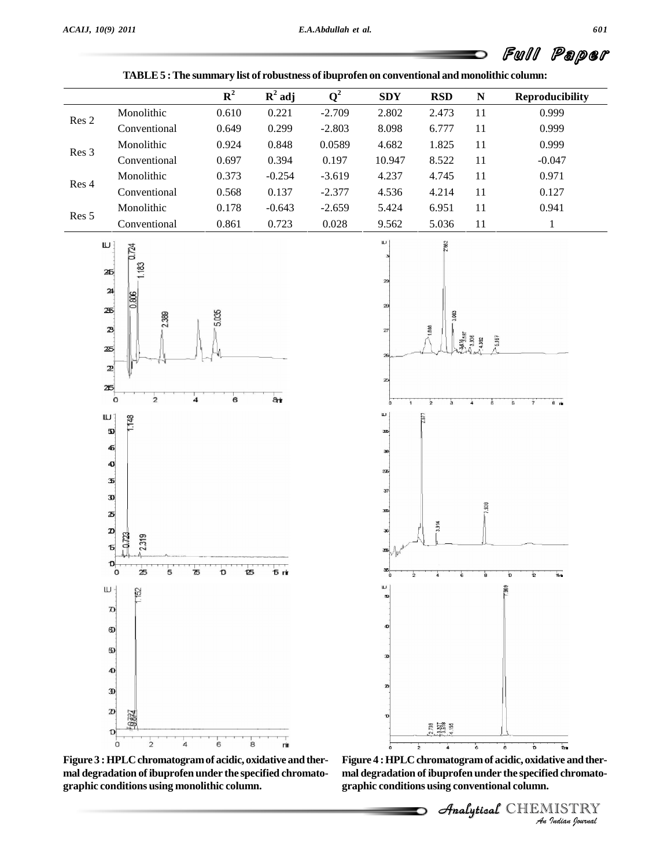

**TABLE5 :The summary list of robustness ofibuprofen on conventional and monolithic column:**

**Figure 3 :HPLCchromatogramof acidic, oxidative andther mal degradation of ibuprofen under the specified chromato** mal degradation of ibuprofen under the specified chromato-<br>graphic conditions using monolithic column.<br>graphic conditions using conventional column.

*I*<br>**I**<br>IISTRY<br>IISTRY<br>*Indian hournal* 

CHEMISTRY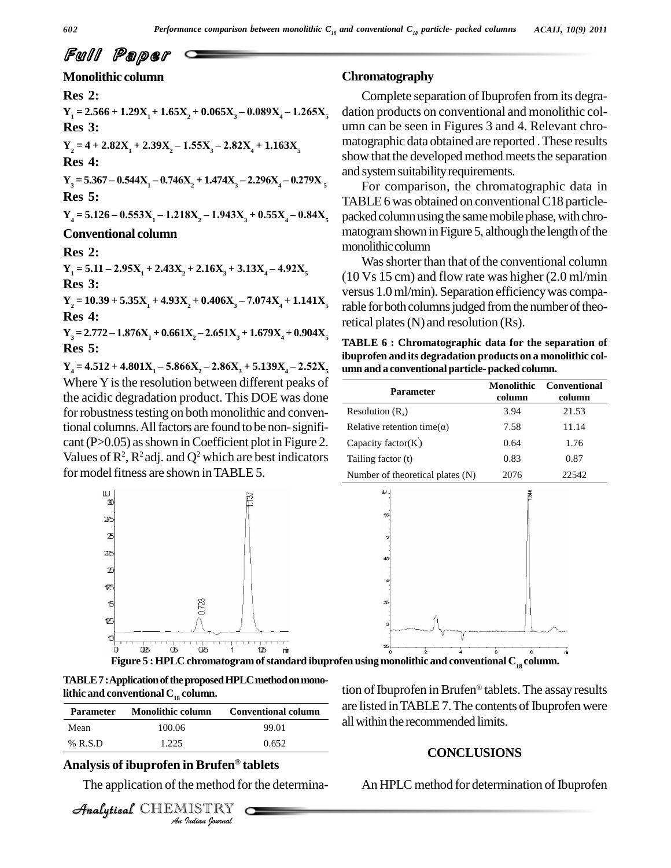#### **Monolithic column**

#### **Res 2:**

 $Y_1 = 2.566 + 1.29X_1 + 1.65X_2 + 0.065X_3 - 0.089X_4 - 1.265X_5$ **Res 3:**

 $Y_2 = 4 + 2.82X_1 + 2.39X_2 - 1.55X_3 - 2.82X_4 + 1.163X_5$ 

**Res 4:**

 $Y_3 = 5.367 - 0.544X_1 - 0.746X_2 + 1.474X_3 - 2.296X_4 - 0.279X_5$ **Res 5:**

 $Y_4 = 5.126 - 0.553X_1 - 1.218X_2 - 1.943X_3 + 0.55X_4 - 0.84X_5$ 

#### **Conventional column**

**Res 2:**

 $Y_1 = 5.11 - 2.95X_1 + 2.43X_2 + 2.16X_3 + 3.13X_4 - 4.92X_5$ **Res 3:**

 $Y_2 = 10.39 + 5.35X_1 + 4.93X_2 + 0.406X_3 - 7.074X_4 + 1.141X_5$ **Res 4:**

 $Y_3 = 2.772 - 1.876X_1 + 0.661X_2 - 2.651X_3 + 1.679X_4 + 0.904X_5$ **Res 5:**

 $Y_4 = 4.512 + 4.801X_1 - 5.866X_2 - 2.86X_3 + 5.139X_4 - 2.52X_5$ Where Y is the resolution between different peaks of the acidic degradation product. This DOE was done for robustness testing on both monolithic and conventional columns.Allfactors are found to be non-signifi cant ( $P > 0.05$ ) as shown in Coefficient plot in Figure 2. Values of  $\mathbb{R}^2$ ,  $\mathbb{R}^2$  adj. and  $\mathbb{Q}^2$  which are best indicators  $\Box$  Taili for model fitness are shown in TABLE 5.

#### **Chromatography**

Complete separation of Ibuprofen from its degradation products on conventional and monolithic col umn can be seen in Figures 3 and 4. Relevant chro matographic data obtained are reported .These results show that the developed method meets the separation and system suitability requirements.

For comparison, the chromatographic data in TABLE 6 was obtained on conventional C18 particlepacked column using the same mobile phase, with chromatogram shown in Figure 5, although the length of the monolithic column

Was shorter than that of the conventional column (10 Vs 15 cm) and flow rate was higher (2.0 ml/min versus 1.0ml/min). Separation efficiencywas comparable for both columns judged from the number of theoretical plates (N) and resolution (Rs).

**TABLE 6 : Chromatographic data for the separation of ibuprofen and itsdegradation products on a monolithic col umn and a conventional particle- packed column.**

| <b>Parameter</b>                    | <b>Monolithic</b><br>column | Conventional<br>column |
|-------------------------------------|-----------------------------|------------------------|
| Resolution $(Rs)$                   | 3.94                        | 21.53                  |
| Relative retention time( $\alpha$ ) | 7.58                        | 11.14                  |
| Capacity factor $(K)$               | 0.64                        | 1.76                   |
| Tailing factor (t)                  | 0.83                        | 0.87                   |
| Number of theoretical plates (N)    | 2076                        | 22542                  |





**Figure 5 :HPLC chromatogramofstandard ibuprofen using monolithic and conventional C<sup>18</sup> column.** Æ

TABLE 7: Application of the proposed HPLC method on mono**lithic** and **conventional**  $C_{18}$  **column.** 

| <b>Parameter</b> | <b>Monolithic column</b>                 | <b>Conventional column</b>                       |
|------------------|------------------------------------------|--------------------------------------------------|
| Mean             | 100.06                                   | 99.01                                            |
| $%$ R.S.D        | 1.225                                    | 0.652                                            |
|                  | Analysis of ibuprofen in Brufen® tablets | The application of the method for the determina- |
|                  | Analytical CHEMISTRY                     |                                                  |

#### **Analysis of ibuprofen in Brufen tablets**

CHEMISTRY

tion of Ibuprofen in Brufen® tablets. The assay results are listed in TABLE 7. The contents of Ibuprofen were all within the recommended limits.

#### **CONCLUSIONS**

An HPLC method for determination of Ibuprofen